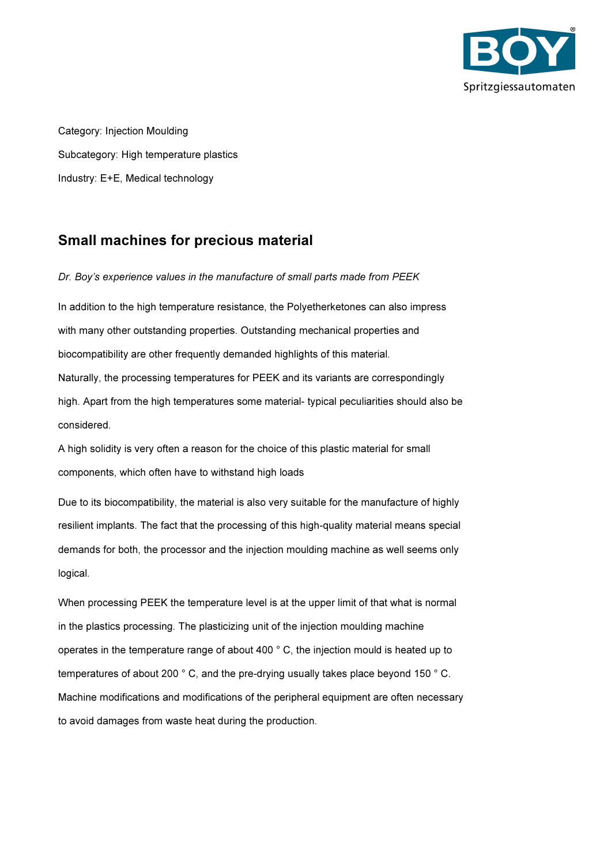

Category: Injection Moulding Subcategory: High temperature plastics Industry: E+E, Medical technology

# Small machines for precious material

Dr. Boy's experience values in the manufacture of small parts made from PEEK

In addition to the high temperature resistance, the Polyetherketones can also impress with many other outstanding properties. Outstanding mechanical properties and biocompatibility are other frequently demanded highlights of this material. Naturally, the processing temperatures for PEEK and its variants are correspondingly high. Apart from the high temperatures some material- typical peculiarities should also be considered.

A high solidity is very often a reason for the choice of this plastic material for small components, which often have to withstand high loads

Due to its biocompatibility, the material is also very suitable for the manufacture of highly resilient implants. The fact that the processing of this high-quality material means special demands for both, the processor and the injection moulding machine as well seems only logical.

When processing PEEK the temperature level is at the upper limit of that what is normal in the plastics processing. The plasticizing unit of the injection moulding machine operates in the temperature range of about 400 ° C, the injection mould is heated up to temperatures of about 200 ° C, and the pre-drying usually takes place beyond 150 ° C. Machine modifications and modifications of the peripheral equipment are often necessary to avoid damages from waste heat during the production.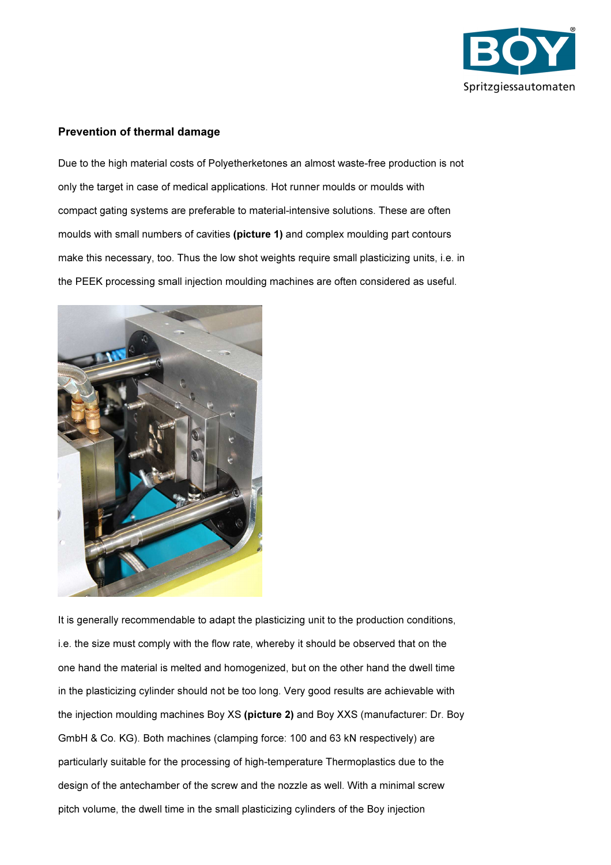

#### Prevention of thermal damage

Due to the high material costs of Polyetherketones an almost waste-free production is not only the target in case of medical applications. Hot runner moulds or moulds with compact gating systems are preferable to material-intensive solutions. These are often moulds with small numbers of cavities (picture 1) and complex moulding part contours make this necessary, too. Thus the low shot weights require small plasticizing units, i.e. in the PEEK processing small injection moulding machines are often considered as useful.



It is generally recommendable to adapt the plasticizing unit to the production conditions, i.e. the size must comply with the flow rate, whereby it should be observed that on the one hand the material is melted and homogenized, but on the other hand the dwell time in the plasticizing cylinder should not be too long. Very good results are achievable with the injection moulding machines Boy XS (picture 2) and Boy XXS (manufacturer: Dr. Boy GmbH & Co. KG). Both machines (clamping force: 100 and 63 kN respectively) are particularly suitable for the processing of high-temperature Thermoplastics due to the design of the antechamber of the screw and the nozzle as well. With a minimal screw pitch volume, the dwell time in the small plasticizing cylinders of the Boy injection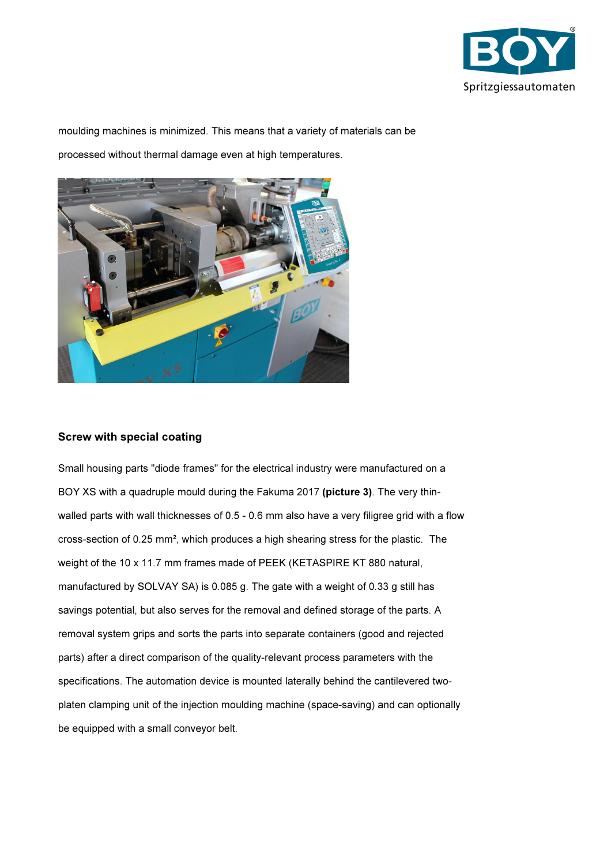

moulding machines is minimized. This means that a variety of materials can be processed without thermal damage even at high temperatures.



## Screw with special coating

Small housing parts "diode frames" for the electrical industry were manufactured on a BOY XS with a quadruple mould during the Fakuma 2017 (picture 3). The very thinwalled parts with wall thicknesses of 0.5 - 0.6 mm also have a very filigree grid with a flow cross-section of 0.25 mm², which produces a high shearing stress for the plastic. The weight of the 10 x 11.7 mm frames made of PEEK (KETASPIRE KT 880 natural, manufactured by SOLVAY SA) is 0.085 g. The gate with a weight of 0.33 g still has savings potential, but also serves for the removal and defined storage of the parts. A removal system grips and sorts the parts into separate containers (good and rejected parts) after a direct comparison of the quality-relevant process parameters with the specifications. The automation device is mounted laterally behind the cantilevered twoplaten clamping unit of the injection moulding machine (space-saving) and can optionally be equipped with a small conveyor belt.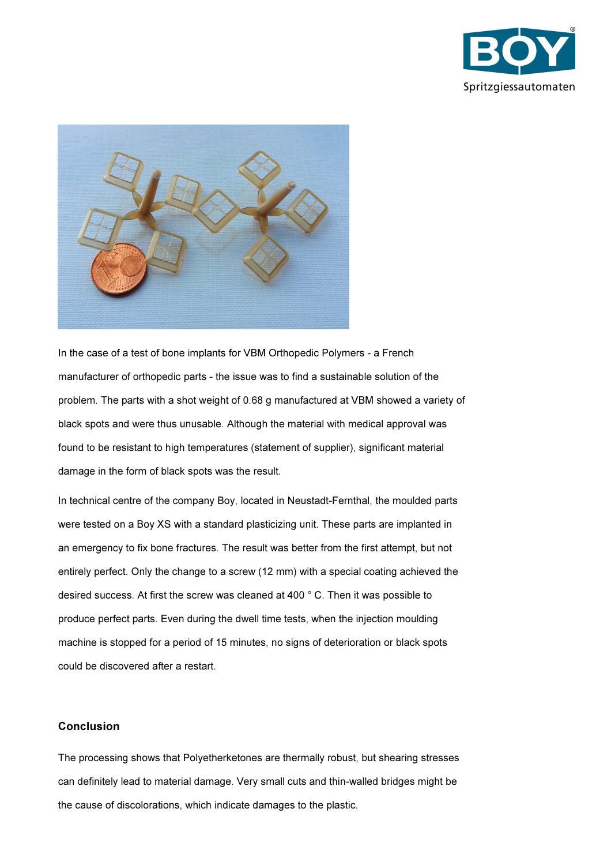



In the case of a test of bone implants for VBM Orthopedic Polymers - a French manufacturer of orthopedic parts - the issue was to find a sustainable solution of the problem. The parts with a shot weight of 0.68 g manufactured at VBM showed a variety of black spots and were thus unusable. Although the material with medical approval was found to be resistant to high temperatures (statement of supplier), significant material damage in the form of black spots was the result.

In technical centre of the company Boy, located in Neustadt-Fernthal, the moulded parts were tested on a Boy XS with a standard plasticizing unit. These parts are implanted in an emergency to fix bone fractures. The result was better from the first attempt, but not entirely perfect. Only the change to a screw (12 mm) with a special coating achieved the desired success. At first the screw was cleaned at 400 ° C. Then it was possible to produce perfect parts. Even during the dwell time tests, when the injection moulding machine is stopped for a period of 15 minutes, no signs of deterioration or black spots could be discovered after a restart.

#### Conclusion

The processing shows that Polyetherketones are thermally robust, but shearing stresses can definitely lead to material damage. Very small cuts and thin-walled bridges might be the cause of discolorations, which indicate damages to the plastic.